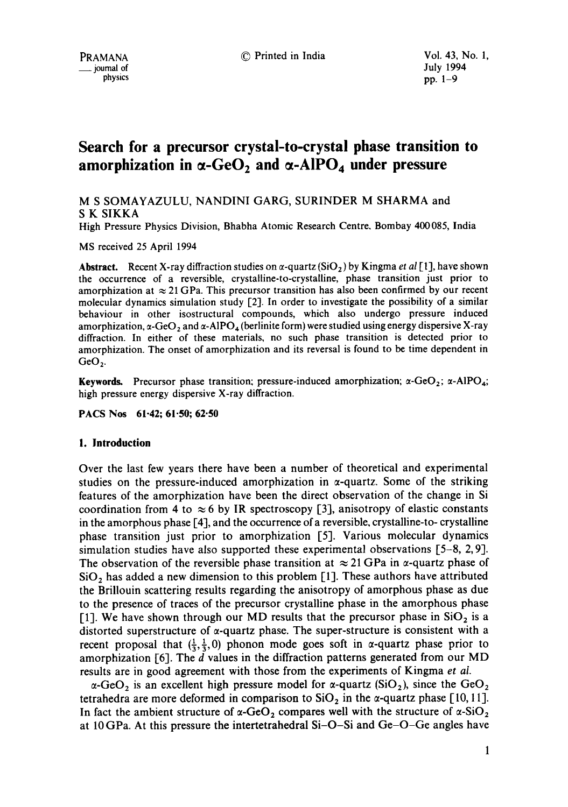# **Search for a precursor crystal-to-crystal phase transition to**  amorphization in  $\alpha$ -GeO<sub>2</sub> and  $\alpha$ -AIPO<sub>4</sub> under pressure

M S SOMAYAZULU, NANDINI GARG, SURINDER M SHARMA and S K SIKKA

High Pressure Physics Division, Bhabha Atomic Research Centre. Bombay 400085, India

MS received 25 April 1994

**Abstract.** Recent X-ray diffraction studies on  $\alpha$ -quartz (SiO<sub>2</sub>) by Kingma *et al* [1], have shown the occurrence of a reversible, crystalline-to-crystalline, phase transition just prior to amorphization at  $\approx$  21 GPa. This precursor transition has also been confirmed by our recent molecular dynamics simulation study [2]. In order to investigate the possibility of a similar behaviour in other isostructural compounds, which also undergo pressure induced amorphization,  $\alpha$ -GeO<sub>2</sub> and  $\alpha$ -AlPO<sub>4</sub> (berlinite form) were studied using energy dispersive X-ray diffraction. In either of these materials, no such phase transition is detected prior to amorphization. The onset of amorphization and its reversal is found to be time dependent in  $GeO<sub>2</sub>$ .

**Keywords.** Precursor phase transition; pressure-induced amorphization;  $\alpha$ -GeO<sub>2</sub>;  $\alpha$ -AIPO<sub>4</sub>; high pressure energy dispersive X-ray diffraction.

**PACS Nos 61-42; 61-50; 62.50** 

## **1. Introduction**

Over the last few years there have been a number of theoretical and experimental studies on the pressure-induced amorphization in  $\alpha$ -quartz. Some of the striking features of the amorphization have been the direct observation of the change in Si coordination from 4 to  $\approx$  6 by IR spectroscopy [3], anisotropy of elastic constants in the amorphous phase [4], and the occurrence of a reversible, crystalline-to- crystalline phase transition just prior to amorphization [5]. Various molecular dynamics simulation studies have also supported these experimental observations [5-8, 2, 9]. The observation of the reversible phase transition at  $\approx$  21 GPa in  $\alpha$ -quartz phase of  $SiO<sub>2</sub>$  has added a new dimension to this problem [1]. These authors have attributed the Brillouin scattering results regarding the anisotropy of amorphous phase as due to the presence of traces of the precursor crystalline phase in the amorphous phase [1]. We have shown through our MD results that the precursor phase in  $SiO<sub>2</sub>$  is a distorted superstructure of  $\alpha$ -quartz phase. The super-structure is consistent with a recent proposal that  $(\frac{1}{3}, \frac{1}{3}, 0)$  phonon mode goes soft in  $\alpha$ -quartz phase prior to amorphization [6]. The d values in the diffraction patterns generated from our MD results are in good agreement with those from the experiments of Kingma *et aL* 

 $\alpha$ -GeO<sub>2</sub> is an excellent high pressure model for  $\alpha$ -quartz (SiO<sub>2</sub>), since the GeO<sub>2</sub> tetrahedra are more deformed in comparison to  $SiO<sub>2</sub>$  in the  $\alpha$ -quartz phase [10, 11]. In fact the ambient structure of  $\alpha$ -GeO<sub>2</sub> compares well with the structure of  $\alpha$ -SiO<sub>2</sub> at 10 GPa. At this pressure the intertetrahedral Si-O-Si and Ge-O-Ge angles have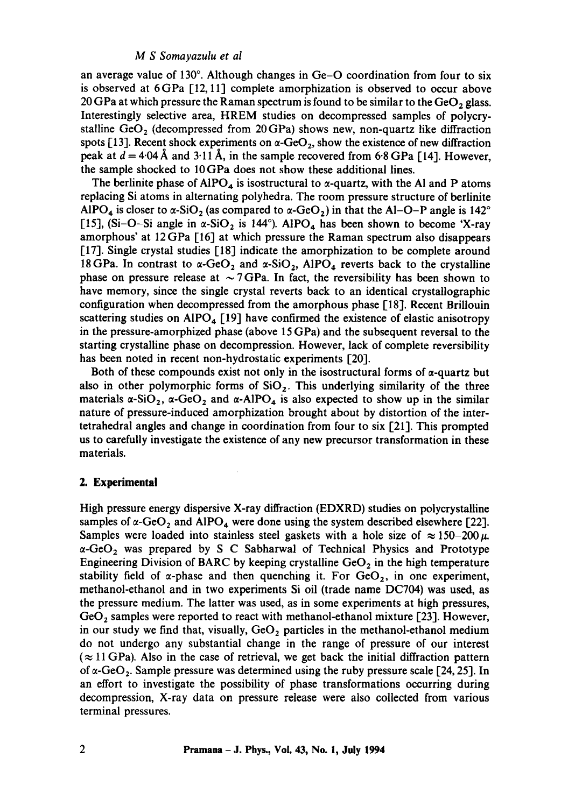## *M S Somayazulu et al*

an average value of 130 $^{\circ}$ . Although changes in Ge-O coordination from four to six is observed at 6GPa [12, 11] complete amorphization is observed to occur above 20 GPa at which pressure the Raman spectrum is found to be similar to the GeO, glass. Interestingly selective area, HREM studies on decompressed samples of polycrystalline  $GeO<sub>2</sub>$  (decompressed from 20 GPa) shows new, non-quartz like diffraction spots [13]. Recent shock experiments on  $\alpha$ -GeO<sub>2</sub>, show the existence of new diffraction peak at  $d = 4.04$  Å and 3.11 Å, in the sample recovered from 6.8 GPa [14]. However, the sample shocked to 10GPa does not show these additional lines.

The berlinite phase of  $AIPO<sub>4</sub>$  is isostructural to  $\alpha$ -quartz, with the AI and P atoms replacing Si atoms in alternating polyhedra. The room pressure structure of berlinite AIPO<sub>4</sub> is closer to  $\alpha$ -SiO<sub>2</sub> (as compared to  $\alpha$ -GeO<sub>2</sub>) in that the Al-O-P angle is 142<sup>o</sup> [15], (Si-O-Si angle in  $\alpha$ -SiO<sub>2</sub> is 144°). AIPO<sub>4</sub> has been shown to become 'X-ray amorphous' at 12GPa [16] at which pressure the Raman spectrum also disappears [17]. Single crystal studies [18] indicate the amorphization to be complete around 18 GPa. In contrast to  $\alpha$ -GeO<sub>2</sub> and  $\alpha$ -SiO<sub>2</sub>, AlPO<sub>4</sub> reverts back to the crystalline phase on pressure release at  $\sim$  7 GPa. In fact, the reversibility has been shown to have memory, since the single crystal reverts back to an identical crystallographic configuration when decompressed from the amorphous phase [18]. Recent Brillouin scattering studies on AIPO<sub>4</sub> [19] have confirmed the existence of elastic anisotropy in the pressure-amorphized phase (above 15 GPa) and the subsequent reversal to the starting crystalline phase on decompression. However, lack of complete reversibility has been noted in recent non-hydrostatic experiments [20].

Both of these compounds exist not only in the isostructural forms of  $\alpha$ -quartz but also in other polymorphic forms of  $SiO<sub>2</sub>$ . This underlying similarity of the three materials  $\alpha$ -SiO<sub>2</sub>,  $\alpha$ -GeO<sub>2</sub> and  $\alpha$ -AIPO<sub>4</sub> is also expected to show up in the similar nature of pressure-induced amorphization brought about by distortion of the intertetrahedral angles and change in coordination from four to six [21]. This prompted us to carefully investigate the existence of any new precursor transformation in these materials.

#### **2. Experimental**

High pressure energy dispersive X-ray diffraction (EDXRD) studies on polycrystalline samples of  $\alpha$ -GeO<sub>2</sub> and AIPO<sub>4</sub> were done using the system described elsewhere [22]. Samples were loaded into stainless steel gaskets with a hole size of  $\approx 150-200 \,\mu$ .  $\alpha$ -GeO<sub>2</sub> was prepared by S C Sabharwal of Technical Physics and Prototype Engineering Division of BARC by keeping crystalline  $GeO<sub>2</sub>$  in the high temperature stability field of  $\alpha$ -phase and then quenching it. For  $GeO<sub>2</sub>$ , in one experiment, methanol-ethanol and in two experiments Si oil (trade name DC704) was used, as the pressure medium. The latter was used, as in some experiments at high pressures,  $GeO<sub>2</sub>$  samples were reported to react with methanol-ethanol mixture [23]. However, in our study we find that, visually,  $GeO<sub>2</sub>$  particles in the methanol-ethanol medium do not undergo any substantial change in the range of pressure of our interest  $(\approx 11 \text{ GPa})$ . Also in the case of retrieval, we get back the initial diffraction pattern of  $\alpha$ -GeO<sub>2</sub>. Sample pressure was determined using the ruby pressure scale [24, 25]. In an effort to investigate the possibility of phase transformations occurring during decompression, X-ray data on pressure release were also collected from various terminal pressures.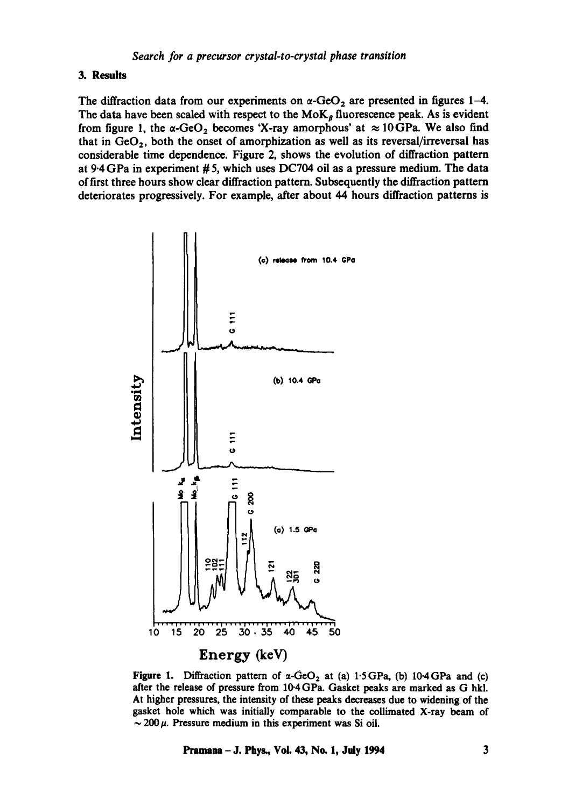## **3. Results**

The diffraction data from our experiments on  $\alpha$ -GeO<sub>2</sub> are presented in figures 1-4. The data have been scaled with respect to the  $M \circ K_{\beta}$  fluorescence peak. As is evident from figure 1, the  $\alpha$ -GeO<sub>2</sub> becomes 'X-ray amorphous' at  $\approx 10$ GPa. We also find that in  $GeO<sub>2</sub>$ , both the onset of amorphization as well as its reversal/irreversal has considerable time dependence. Figure 2, shows the evolution of diffraction pattern at 9.4 GPa in experiment # 5, which uses DC704 oil as a pressure medium. The data of first three hours show clear diffraction pattern. Subsequently the diffraction pattern deteriorates progressively. For example, after about 44 hours diffraction patterns is





Pramana – J. Phys., Vol. 43, No. 1, July 1994 3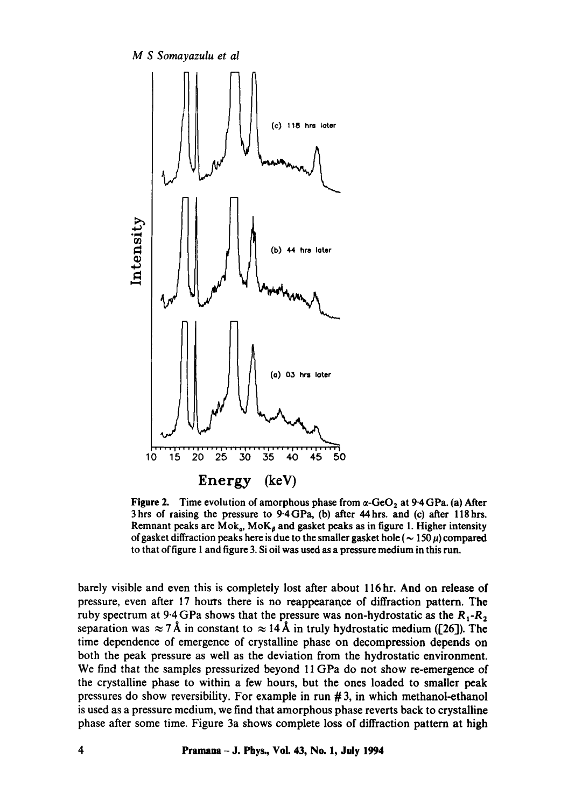

**Figure 2.** Time evolution of amorphous phase from  $\alpha$ -GeO<sub>2</sub> at 9.4 GPa. (a) After 3hrs of raising the pressure to 9.4GPa, (b) after 44hrs. and (c) after llShrs. Remnant peaks are  $Mok_a$ ,  $Mok_b$  and gasket peaks as in figure 1. Higher intensity of gasket diffraction peaks here is due to the smaller gasket hole ( $\sim 150 \,\mu$ ) compared to that of figure 1 and figure 3. Si oil was used as a pressure medium in this run.

barely visible and even this is completely lost after about 116 hr. And on release of pressure, even after 17 hours there is no reappearance of diffraction pattern. The ruby spectrum at  $9.4$  GPa shows that the pressure was non-hydrostatic as the  $R_1$ - $R_2$ separation was  $\approx 7\text{\AA}$  in constant to  $\approx 14\text{\AA}$  in truly hydrostatic medium ([26]). The time dependence of emergence of crystalline phase on decompression depends on both the peak pressure as well as the deviation from the hydrostatic environment. We find that the samples pressurized beyond 11 GPa do not show re-emergence of the crystalline phase to within a few hours, but the ones loaded to smaller peak pressures do show reversibility. For example in run # 3, in which methanol-ethanol is used as a pressure medium, we find that amorphous phase reverts back to crystalline phase after some time. Figure 3a shows complete loss of diffraction pattern at high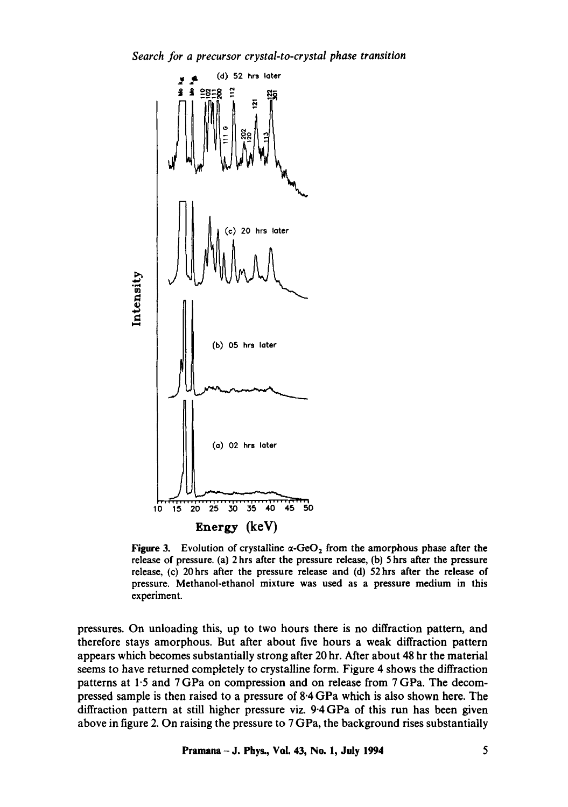*Search for a precursor crystal-to-crystal phase transition* 



Figure 3. Evolution of crystalline  $\alpha$ -GeO<sub>2</sub> from the amorphous phase after the release of pressure. (a) 2 hrs after the pressure release, (b) 5 hrs after the pressure release, (c) 20hrs after the pressure release and (d) 52hrs after the release of pressure. Methanol-ethanol mixture was used as a pressure medium in this experiment.

pressures. On unloading this, up to two hours there is no diffraction pattern, and therefore stays amorphous. But after about five hours a weak diffraction pattern appears which becomes substantially strong after 20 hr. After about 48 hr the material seems to have returned completely to crystalline form. Figure 4 shows the diffraction patterns at 1.5 and 7 GPa on compression and on release from 7 GPa. The decompressed sample is then raised to a pressure of 8.4 GPa which is also shown here. The diffraction pattern at still higher pressure viz. 9.4 GPa of this run has been given above in figure 2. On raising the pressure to 7 GPa, the background rises substantially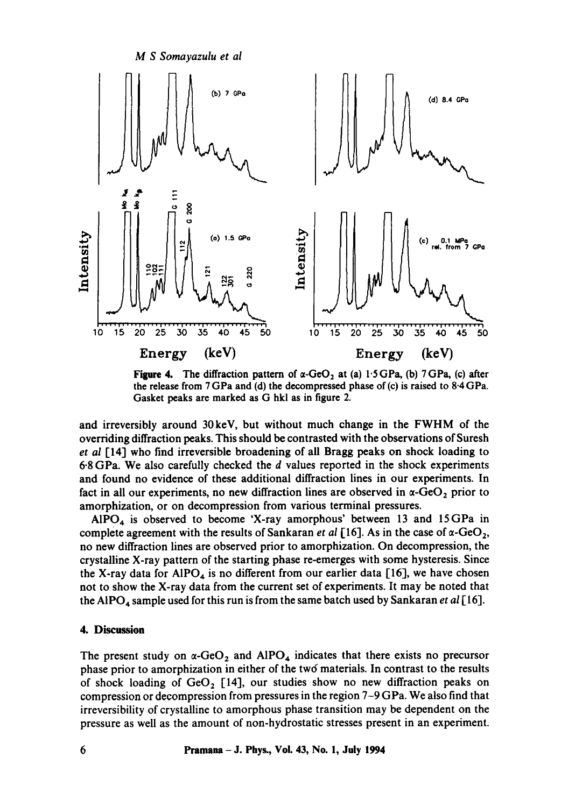

Figure 4. The diffraction pattern of  $\alpha$ -GeO<sub>2</sub> at (a) 1.5 GPa, (b) 7 GPa, (c) after the release from 7 GPa and (d) the decompressed phase of (c) is raised to 8.4 GPa. Gasket peaks are marked as G hkl as in figure 2.

and irreversibly around 30keV, but without much change in the FWHM of the overriding diffraction peaks. This should be contrasted with the observations of Suresh *et al* [14] who find irreversible broadening of all Bragg peaks on shock loading to 6-8 GPa. We also carefully checked the d values reported in the shock experiments and found no evidence of these additional diffraction lines in our experiments. In fact in all our experiments, no new diffraction lines are observed in  $\alpha$ -GeO<sub>2</sub> prior to amorphization, or on decompression from various terminal pressures.

AIPO<sub>4</sub> is observed to become 'X-ray amorphous' between 13 and 15 GPa in complete agreement with the results of Sankaran *et al* [16]. As in the case of  $\alpha$ -GeO<sub>2</sub>, no new diffraction lines are observed prior to amorphization. On decompression, the crystalline X-ray pattern of the starting phase re-emerges with some hysteresis. Since the X-ray data for AIPO<sub>4</sub> is no different from our earlier data [16], we have chosen not to show the X-ray data from the current set of experiments. It may be noted that the AIPO<sub>4</sub> sample used for this run is from the same batch used by Sankaran *et al* [16].

## **4. Discussion**

The present study on  $\alpha$ -GeO<sub>2</sub> and AIPO<sub>4</sub> indicates that there exists no precursor phase prior to amorphization in either of the tw6 materials. In contrast to the results of shock loading of  $GeO<sub>2</sub>$  [14], our studies show no new diffraction peaks on compression or decompression from pressures in the region 7-9 GPa. We also find that irreversibility of crystalline to amorphous phase transition may be dependent on the pressure as well as the amount of non-hydrostatic stresses present in an experiment.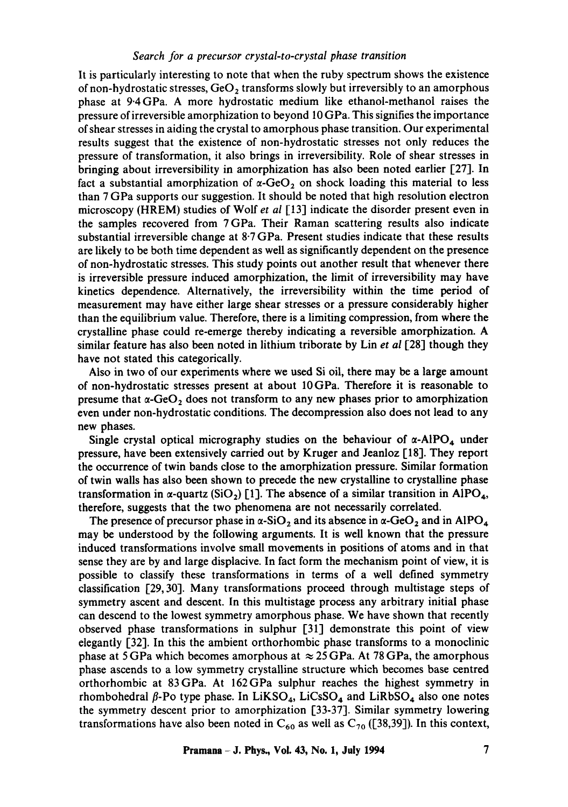## *Search for a precursor crystal-to-crystal phase transition*

It is particularly interesting to note that when the ruby spectrum shows the existence of non-hydrostatic stresses,  $GeO<sub>2</sub>$  transforms slowly but irreversibly to an amorphous phase at 9.4GPa. A more hydrostatic medium like ethanol-methanol raises the pressure of irreversible amorphization to beyond 10 GPa. This signifies the importance of shear stresses in aiding the crystal to amorphous phase transition. Our experimental results suggest that the existence of non-hydrostatic stresses not only reduces the pressure of transformation, it also brings in irreversibility. Role of shear stresses in bringing about irreversibility in amorphization has also been noted earlier [27]. In fact a substantial amorphization of  $\alpha$ -GeO<sub>2</sub> on shock loading this material to less than 7 GPa supports our suggestion. It should be noted that high resolution electron microscopy (HREM) studies of Wolf *et al* [13] indicate the disorder present even in the samples recovered from 7 GPa. Their Raman scattering results also indicate substantial irreversible change at  $8.7$  GPa. Present studies indicate that these results are likely to be both time dependent as well as significantly dependent on the presence of non-hydrostatic stresses. This study points out another result that whenever there is irreversible pressure induced amorphization, the limit of irreversibility may have kinetics dependence. Alternatively, the irreversibility within the time period of measurement may have either large shear stresses or a pressure considerably higher than the equilibrium value. Therefore, there is a limiting compression, from where the crystalline phase could re-emerge thereby indicating a reversible amorphization. A similar feature has also been noted in lithium triborate by Lin *et al* [28] though they have not stated this categorically.

Also in two of our experiments where we used Si oil, there may be a large amount of non-hydrostatic stresses present at about 10GPa. Therefore it is reasonable to presume that  $\alpha$ -GeO<sub>2</sub> does not transform to any new phases prior to amorphization even under non-hydrostatic conditions. The decompression also does not lead to any new phases.

Single crystal optical micrography studies on the behaviour of  $\alpha$ -AlPO<sub>4</sub> under pressure, have been extensively carried out by Kruger and Jeanloz [18]. They report the occurrence of twin bands close to the amorphization pressure. Similar formation of twin walls has also been shown to precede the new crystalline to crystalline phase transformation in  $\alpha$ -quartz (SiO<sub>2</sub>) [1]. The absence of a similar transition in AlPO<sub>4</sub>, therefore, suggests that the two phenomena are not necessarily correlated.

The presence of precursor phase in  $\alpha$ -SiO<sub>2</sub> and its absence in  $\alpha$ -GeO<sub>2</sub> and in AIPO<sub>4</sub> may be understood by the following arguments. It is well known that the pressure induced transformations involve small movements in positions of atoms and in that sense they are by and large displacive. In fact form the mechanism point of view, it is possible to classify these transformations in terms of a well defined symmetry classification [29, 30]. Many transformations proceed through multistage steps of symmetry ascent and descent. In this multistage process any arbitrary initial phase can descend to the lowest symmetry amorphous phase. We have shown that recently observed phase transformations in sulphur [31] demonstrate this point of view elegantly [32]. In this the ambient orthorhombic phase transforms to a monoclinic phase at 5 GPa which becomes amorphous at  $\approx$  25 GPa. At 78 GPa, the amorphous phase ascends to a low symmetry crystalline structure which becomes base centred orthorhombic at 83GPa. At 162GPa sulphur reaches the highest symmetry in rhombohedral  $\beta$ -Po type phase. In LiKSO<sub>4</sub>, LiCsSO<sub>4</sub> and LiRbSO<sub>4</sub> also one notes the symmetry descent prior to amorphization [33-37]. Similar symmetry lowering transformations have also been noted in  $C_{60}$  as well as  $C_{70}$  ([38,39]). In this context,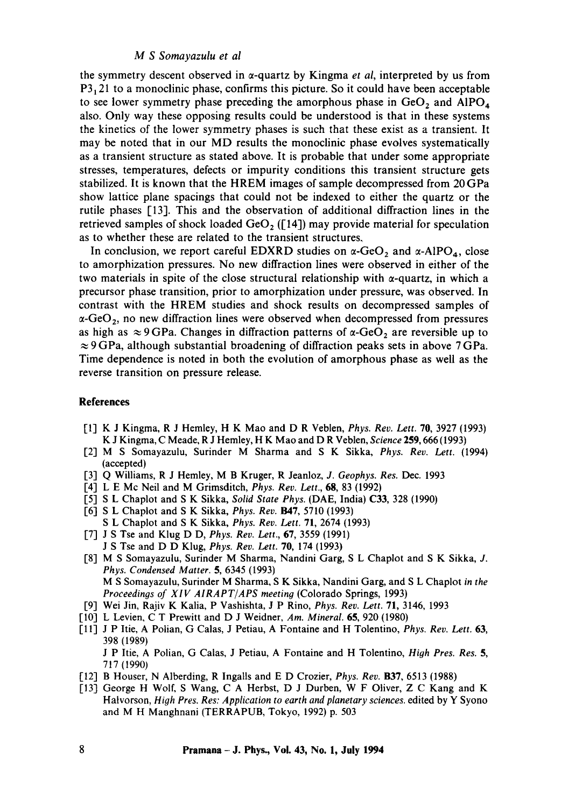## *M S Somayazulu et al*

the symmetry descent observed in  $\alpha$ -quartz by Kingma *et al*, interpreted by us from  $P3<sub>1</sub>21$  to a monoclinic phase, confirms this picture. So it could have been acceptable to see lower symmetry phase preceding the amorphous phase in  $GeO<sub>2</sub>$  and  $AlPO<sub>4</sub>$ also. Only way these opposing results could be understood is that in these systems the kinetics of the lower symmetry phases is such that these exist as a transient. It may be noted that in our MD results the monoclinic phase evolves systematically as a transient structure as stated above. It is probable that under some appropriate stresses, temperatures, defects or impurity conditions this transient structure gets stabilized. It is known that the HREM images of sample decompressed from 20 GPa show lattice plane spacings that could not be indexed to either the quartz or the rutile phases [13]. This and the observation of additional diffraction lines in the retrieved samples of shock loaded  $GeO<sub>2</sub>$  ([14]) may provide material for speculation as to whether these are related to the transient structures.

In conclusion, we report careful EDXRD studies on  $\alpha$ -GeO, and  $\alpha$ -AlPO<sub>4</sub>, close to amorphization pressures. No new diffraction lines were observed in either of the two materials in spite of the close structural relationship with  $\alpha$ -quartz, in which a precursor phase transition, prior to amorphization under pressure, was observed. In contrast with the HREM studies and shock results on decompressed samples of  $\alpha$ -GeO<sub>2</sub>, no new diffraction lines were observed when decompressed from pressures as high as  $\approx$  9 GPa. Changes in diffraction patterns of  $\alpha$ -GeO<sub>2</sub> are reversible up to  $\approx$  9 GPa, although substantial broadening of diffraction peaks sets in above 7 GPa. Time dependence is noted in both the evolution of amorphous phase as well as the reverse transition on pressure release.

### **References**

- [1] K J Kingma, R J Hemley, H K Mao and D R Veblen, *Phys. Rev. Lett.* 70, 3927 (1993) K J Kingma, C Meade, R J Hemley, H K Mao and D R Veblen, *Science* 259, 666 (1993)
- [2] M S Somayazulu, Surinder M Sharma and S K Sikka, *Phys. Rev. Lett.* (1994) (accepted)
- [3] Q Williams, R J Hemley, M B Kruger, R Jeanloz, *J. Geophys. Res.* Dec. 1993
- [4] L E Mc Neil and M Grimsditch, *Phys. Rev. Lett.,* 68, 83 (1992)
- [5] S L Chaplot and S K Sikka, *Solid State Phys.* (DAE, India) C33, 328 (1990)
- [6] S L Chapiot and S K Sikka, *Phys. Rev.* B47, 5710 (1993) S L Chaplot and S K Sikka, *Phys. Rev. Lett.* 71, 2674 (1993)
- [7] J S Tse and Klug D D, *Phys. Rev. Lett.,* 67, 3559 (1991)
- J S Tse and D D Klug, *Phys. Rev. Lett.* 70, 174 (1993)
- [8] M S Somayazulu, Surinder M Sharma, Nandini Garg, S L Chaplot and S K Sikka, J. *Phys. Condensed Matter.* 5, 6345 (1993) M S Somayazulu, Surinder M Sharma, S K Sikka, Nandini Garg, and S L Chaplot *in the Proceedings of XIV AIRAPT/APS meeting* (Colorado Springs, 1993)
- [9] Wei Jin, Rajiv K Kalia, P Vashishta, J P Rino, *Phys. Rev. Lett.* 71, 3146, 1993
- [10] L Levien, C T Prewitt and D J Weidner, *Am. Mineral.* 65, 920 (1980)
- [11] J P Itie, A Polian, G Calas, J Petiau, A Fontaine and H Tolentino, *Phys. Rev. Lett.* 63, 398 (1989)

J P ltie, A Polian, G Calas, J Petiau, A Fontaine and H Tolentino, *High Pres. Res. 5,*  717 (1990)

- [12] B Houser, N Alberding, R Ingalls and E D Crozier, *Phys. Rev.* B37, 6513 (1988)
- [13] George H Wolf, S Wang, C A Herbst, D J Durben, W F Oliver, Z C Kang and K Halvorson, *High Pres. Res: Application to earth and planetary sciences,* edited by Y Syono and M H Manghnani (TERRAPUB, Tokyo, 1992) p. 503